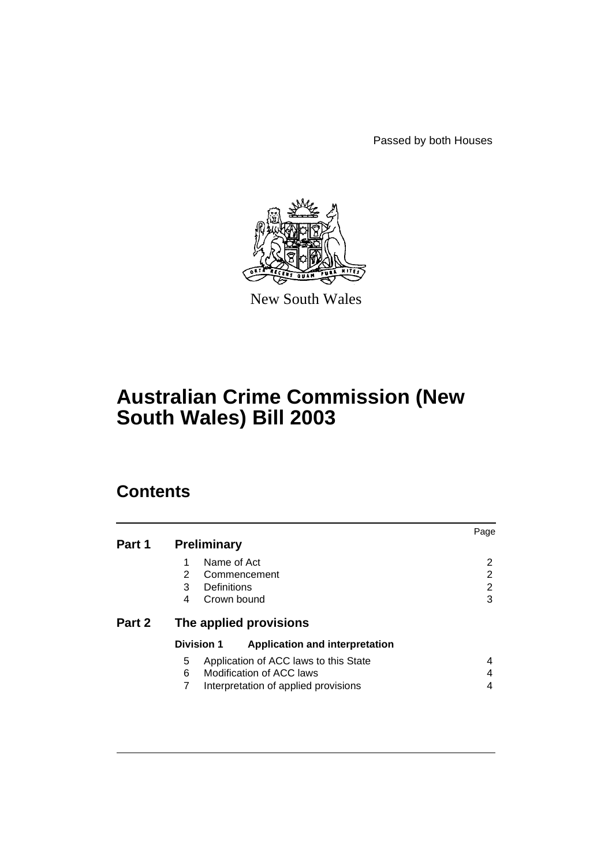Passed by both Houses



New South Wales

# **Australian Crime Commission (New South Wales) Bill 2003**

# **Contents**

|        |                                                            | Page |  |  |
|--------|------------------------------------------------------------|------|--|--|
| Part 1 | <b>Preliminary</b>                                         |      |  |  |
|        | Name of Act                                                | 2    |  |  |
|        | 2<br>Commencement                                          | 2    |  |  |
|        | Definitions<br>3                                           | 2    |  |  |
|        | Crown bound<br>4                                           | 3    |  |  |
| Part 2 | The applied provisions                                     |      |  |  |
|        | <b>Division 1</b><br><b>Application and interpretation</b> |      |  |  |
|        | 5<br>Application of ACC laws to this State                 | 4    |  |  |
|        | Modification of ACC laws<br>6                              | 4    |  |  |
|        | 7<br>Interpretation of applied provisions                  | 4    |  |  |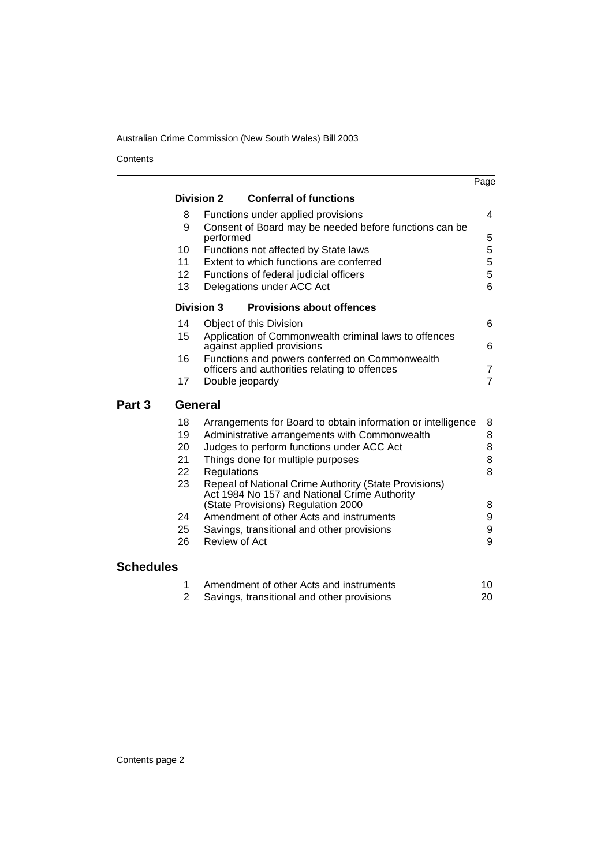**Contents** 

|                   |                 |                                                                                                       | Page           |
|-------------------|-----------------|-------------------------------------------------------------------------------------------------------|----------------|
|                   |                 | <b>Conferral of functions</b><br><b>Division 2</b>                                                    |                |
|                   | 8               | Functions under applied provisions                                                                    | 4              |
|                   | 9               | Consent of Board may be needed before functions can be<br>performed                                   | 5              |
|                   | 10              | Functions not affected by State laws                                                                  | 5              |
|                   | 11              | Extent to which functions are conferred                                                               | 5              |
|                   | 12 <sup>2</sup> | Functions of federal judicial officers                                                                | 5              |
|                   | 13              | Delegations under ACC Act                                                                             | 6              |
|                   |                 | <b>Division 3</b><br><b>Provisions about offences</b>                                                 |                |
|                   | 14              | Object of this Division                                                                               | 6              |
|                   | 15              | Application of Commonwealth criminal laws to offences<br>against applied provisions                   | 6              |
|                   | 16              | Functions and powers conferred on Commonwealth                                                        |                |
|                   |                 | officers and authorities relating to offences                                                         | 7              |
|                   | 17              | Double jeopardy                                                                                       | $\overline{7}$ |
| Part <sub>3</sub> |                 |                                                                                                       |                |
|                   | <b>General</b>  |                                                                                                       |                |
|                   | 18              | Arrangements for Board to obtain information or intelligence                                          | 8              |
|                   | 19              | Administrative arrangements with Commonwealth                                                         | 8              |
|                   | 20              | Judges to perform functions under ACC Act                                                             | 8              |
|                   | 21              | Things done for multiple purposes                                                                     | 8              |
|                   | 22              | Regulations                                                                                           | 8              |
|                   | 23              | Repeal of National Crime Authority (State Provisions)<br>Act 1984 No 157 and National Crime Authority |                |
|                   |                 | (State Provisions) Regulation 2000                                                                    | 8              |
|                   | 24              | Amendment of other Acts and instruments                                                               | 9              |
|                   | 25              | Savings, transitional and other provisions                                                            | 9              |
|                   | 26              | <b>Review of Act</b>                                                                                  | 9              |
| <b>Schedules</b>  |                 |                                                                                                       |                |
|                   | 1               | Amendment of other Acts and instruments                                                               | 10             |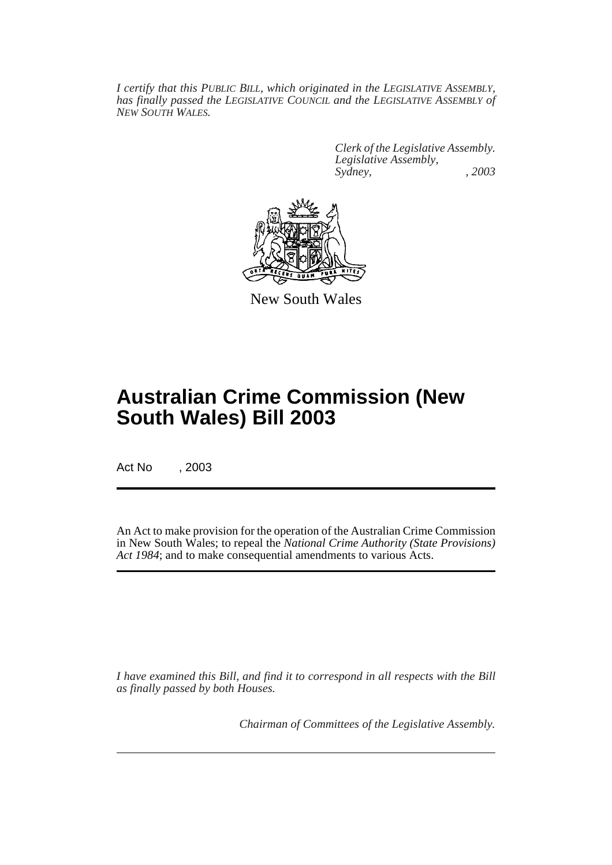*I certify that this PUBLIC BILL, which originated in the LEGISLATIVE ASSEMBLY, has finally passed the LEGISLATIVE COUNCIL and the LEGISLATIVE ASSEMBLY of NEW SOUTH WALES.*

> *Clerk of the Legislative Assembly. Legislative Assembly, Sydney, , 2003*



New South Wales

# **Australian Crime Commission (New South Wales) Bill 2003**

Act No , 2003

An Act to make provision for the operation of the Australian Crime Commission in New South Wales; to repeal the *National Crime Authority (State Provisions) Act 1984*; and to make consequential amendments to various Acts.

*I have examined this Bill, and find it to correspond in all respects with the Bill as finally passed by both Houses.*

*Chairman of Committees of the Legislative Assembly.*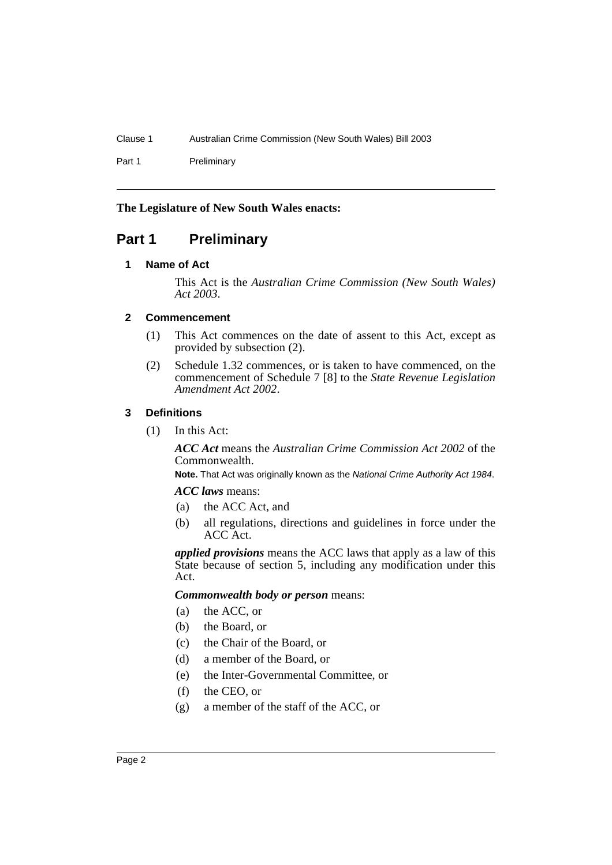Part 1 Preliminary

## **The Legislature of New South Wales enacts:**

# <span id="page-3-1"></span><span id="page-3-0"></span>**Part 1 Preliminary**

## **1 Name of Act**

This Act is the *Australian Crime Commission (New South Wales) Act 2003*.

## <span id="page-3-2"></span>**2 Commencement**

- (1) This Act commences on the date of assent to this Act, except as provided by subsection (2).
- (2) Schedule 1.32 commences, or is taken to have commenced, on the commencement of Schedule 7 [8] to the *State Revenue Legislation Amendment Act 2002*.

## <span id="page-3-3"></span>**3 Definitions**

(1) In this Act:

*ACC Act* means the *Australian Crime Commission Act 2002* of the Commonwealth.

**Note.** That Act was originally known as the National Crime Authority Act 1984.

#### *ACC laws* means:

- (a) the ACC Act, and
- (b) all regulations, directions and guidelines in force under the ACC Act.

*applied provisions* means the ACC laws that apply as a law of this State because of section 5, including any modification under this Act.

#### *Commonwealth body or person* means:

- (a) the ACC, or
- (b) the Board, or
- (c) the Chair of the Board, or
- (d) a member of the Board, or
- (e) the Inter-Governmental Committee, or
- (f) the CEO, or
- (g) a member of the staff of the ACC, or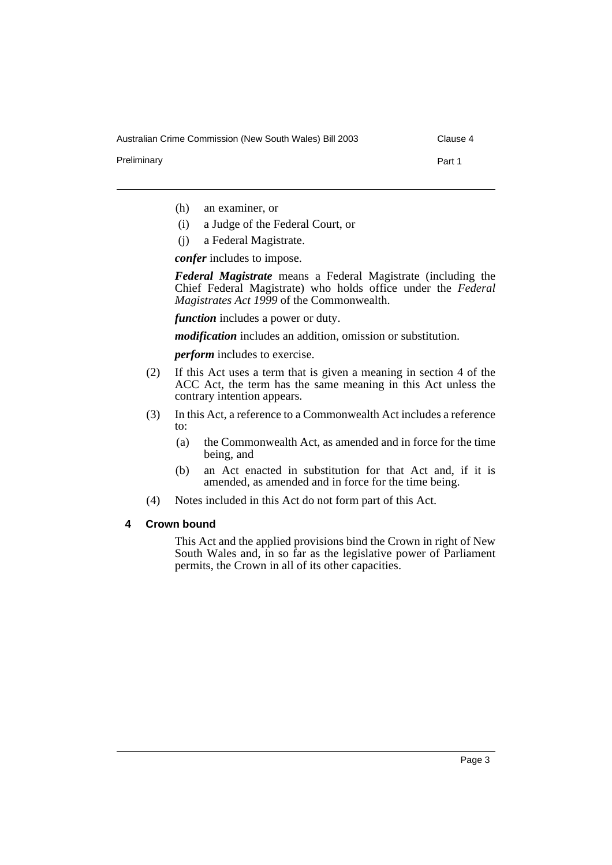Australian Crime Commission (New South Wales) Bill 2003 Clause 4

Preliminary **Part 1** 

- (h) an examiner, or
- (i) a Judge of the Federal Court, or
- (j) a Federal Magistrate.

*confer* includes to impose.

*Federal Magistrate* means a Federal Magistrate (including the Chief Federal Magistrate) who holds office under the *Federal Magistrates Act 1999* of the Commonwealth.

*function* includes a power or duty.

*modification* includes an addition, omission or substitution.

*perform* includes to exercise.

- (2) If this Act uses a term that is given a meaning in section 4 of the ACC Act, the term has the same meaning in this Act unless the contrary intention appears.
- (3) In this Act, a reference to a Commonwealth Act includes a reference to:
	- (a) the Commonwealth Act, as amended and in force for the time being, and
	- (b) an Act enacted in substitution for that Act and, if it is amended, as amended and in force for the time being.
- (4) Notes included in this Act do not form part of this Act.

#### <span id="page-4-0"></span>**4 Crown bound**

This Act and the applied provisions bind the Crown in right of New South Wales and, in so far as the legislative power of Parliament permits, the Crown in all of its other capacities.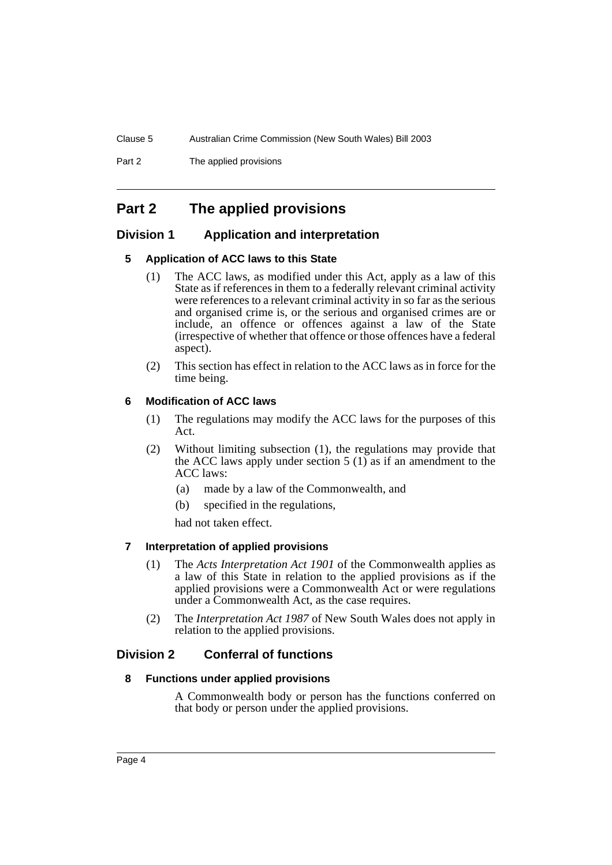Part 2 The applied provisions

# <span id="page-5-0"></span>**Part 2 The applied provisions**

## <span id="page-5-2"></span><span id="page-5-1"></span>**Division 1 Application and interpretation**

## **5 Application of ACC laws to this State**

- (1) The ACC laws, as modified under this Act, apply as a law of this State as if references in them to a federally relevant criminal activity were references to a relevant criminal activity in so far as the serious and organised crime is, or the serious and organised crimes are or include, an offence or offences against a law of the State (irrespective of whether that offence or those offences have a federal aspect).
- (2) This section has effect in relation to the ACC laws as in force for the time being.

## <span id="page-5-3"></span>**6 Modification of ACC laws**

- (1) The regulations may modify the ACC laws for the purposes of this Act.
- (2) Without limiting subsection (1), the regulations may provide that the ACC laws apply under section  $5(1)$  as if an amendment to the ACC laws:
	- (a) made by a law of the Commonwealth, and
	- (b) specified in the regulations,

had not taken effect.

#### <span id="page-5-4"></span>**7 Interpretation of applied provisions**

- (1) The *Acts Interpretation Act 1901* of the Commonwealth applies as a law of this State in relation to the applied provisions as if the applied provisions were a Commonwealth Act or were regulations under a Commonwealth Act, as the case requires.
- (2) The *Interpretation Act 1987* of New South Wales does not apply in relation to the applied provisions.

## <span id="page-5-6"></span><span id="page-5-5"></span>**Division 2 Conferral of functions**

#### **8 Functions under applied provisions**

A Commonwealth body or person has the functions conferred on that body or person under the applied provisions.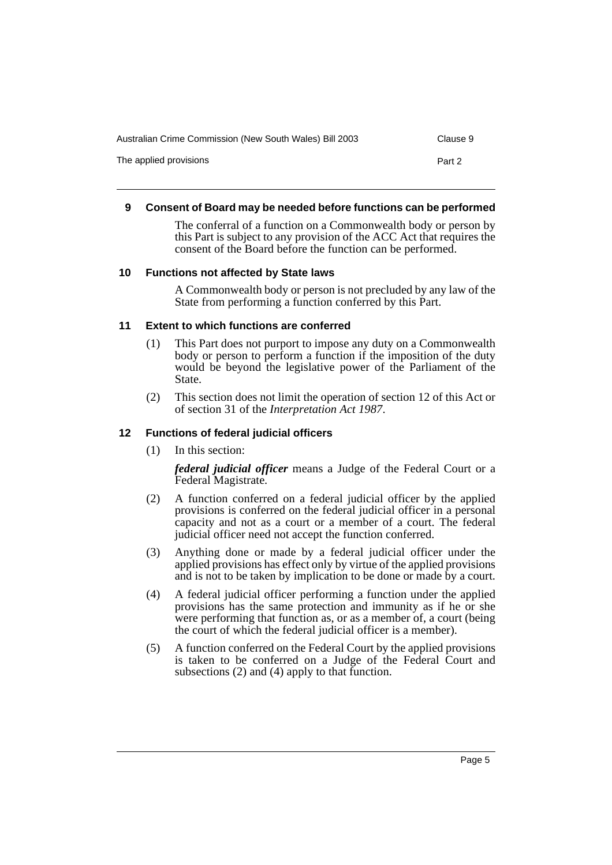| Australian Crime Commission (New South Wales) Bill 2003 | Clause 9 |
|---------------------------------------------------------|----------|
| The applied provisions                                  | Part 2   |

#### <span id="page-6-0"></span>**9 Consent of Board may be needed before functions can be performed**

The conferral of a function on a Commonwealth body or person by this Part is subject to any provision of the ACC Act that requires the consent of the Board before the function can be performed.

#### <span id="page-6-1"></span>**10 Functions not affected by State laws**

A Commonwealth body or person is not precluded by any law of the State from performing a function conferred by this Part.

#### <span id="page-6-2"></span>**11 Extent to which functions are conferred**

- (1) This Part does not purport to impose any duty on a Commonwealth body or person to perform a function if the imposition of the duty would be beyond the legislative power of the Parliament of the State.
- (2) This section does not limit the operation of section 12 of this Act or of section 31 of the *Interpretation Act 1987*.

#### <span id="page-6-3"></span>**12 Functions of federal judicial officers**

(1) In this section:

*federal judicial officer* means a Judge of the Federal Court or a Federal Magistrate.

- (2) A function conferred on a federal judicial officer by the applied provisions is conferred on the federal judicial officer in a personal capacity and not as a court or a member of a court. The federal judicial officer need not accept the function conferred.
- (3) Anything done or made by a federal judicial officer under the applied provisions has effect only by virtue of the applied provisions and is not to be taken by implication to be done or made by a court.
- (4) A federal judicial officer performing a function under the applied provisions has the same protection and immunity as if he or she were performing that function as, or as a member of, a court (being the court of which the federal judicial officer is a member).
- (5) A function conferred on the Federal Court by the applied provisions is taken to be conferred on a Judge of the Federal Court and subsections (2) and (4) apply to that function.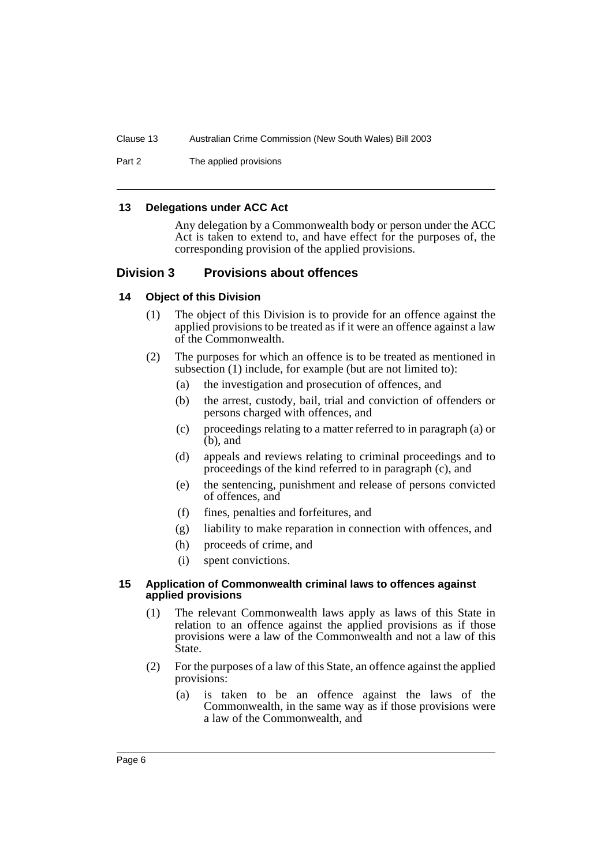Part 2 The applied provisions

#### <span id="page-7-0"></span>**13 Delegations under ACC Act**

Any delegation by a Commonwealth body or person under the ACC Act is taken to extend to, and have effect for the purposes of, the corresponding provision of the applied provisions.

## <span id="page-7-1"></span>**Division 3 Provisions about offences**

#### <span id="page-7-2"></span>**14 Object of this Division**

- (1) The object of this Division is to provide for an offence against the applied provisions to be treated as if it were an offence against a law of the Commonwealth.
- (2) The purposes for which an offence is to be treated as mentioned in subsection (1) include, for example (but are not limited to):
	- (a) the investigation and prosecution of offences, and
	- (b) the arrest, custody, bail, trial and conviction of offenders or persons charged with offences, and
	- (c) proceedings relating to a matter referred to in paragraph (a) or (b), and
	- (d) appeals and reviews relating to criminal proceedings and to proceedings of the kind referred to in paragraph (c), and
	- (e) the sentencing, punishment and release of persons convicted of offences, and
	- (f) fines, penalties and forfeitures, and
	- (g) liability to make reparation in connection with offences, and
	- (h) proceeds of crime, and
	- (i) spent convictions.

#### <span id="page-7-3"></span>**15 Application of Commonwealth criminal laws to offences against applied provisions**

- (1) The relevant Commonwealth laws apply as laws of this State in relation to an offence against the applied provisions as if those provisions were a law of the Commonwealth and not a law of this State.
- (2) For the purposes of a law of this State, an offence against the applied provisions:
	- (a) is taken to be an offence against the laws of the Commonwealth, in the same way as if those provisions were a law of the Commonwealth, and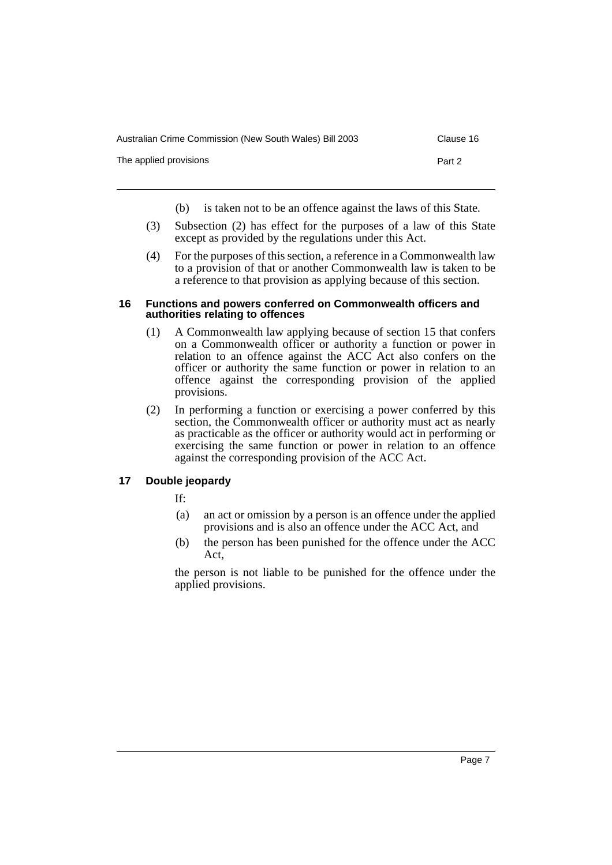| Australian Crime Commission (New South Wales) Bill 2003 | Clause 16 |
|---------------------------------------------------------|-----------|
| The applied provisions                                  | Part 2    |

- (b) is taken not to be an offence against the laws of this State.
- (3) Subsection (2) has effect for the purposes of a law of this State except as provided by the regulations under this Act.
- (4) For the purposes of this section, a reference in a Commonwealth law to a provision of that or another Commonwealth law is taken to be a reference to that provision as applying because of this section.

#### <span id="page-8-0"></span>**16 Functions and powers conferred on Commonwealth officers and authorities relating to offences**

- (1) A Commonwealth law applying because of section 15 that confers on a Commonwealth officer or authority a function or power in relation to an offence against the ACC Act also confers on the officer or authority the same function or power in relation to an offence against the corresponding provision of the applied provisions.
- (2) In performing a function or exercising a power conferred by this section, the Commonwealth officer or authority must act as nearly as practicable as the officer or authority would act in performing or exercising the same function or power in relation to an offence against the corresponding provision of the ACC Act.

## <span id="page-8-1"></span>**17 Double jeopardy**

If:

- (a) an act or omission by a person is an offence under the applied provisions and is also an offence under the ACC Act, and
- (b) the person has been punished for the offence under the ACC Act,

the person is not liable to be punished for the offence under the applied provisions.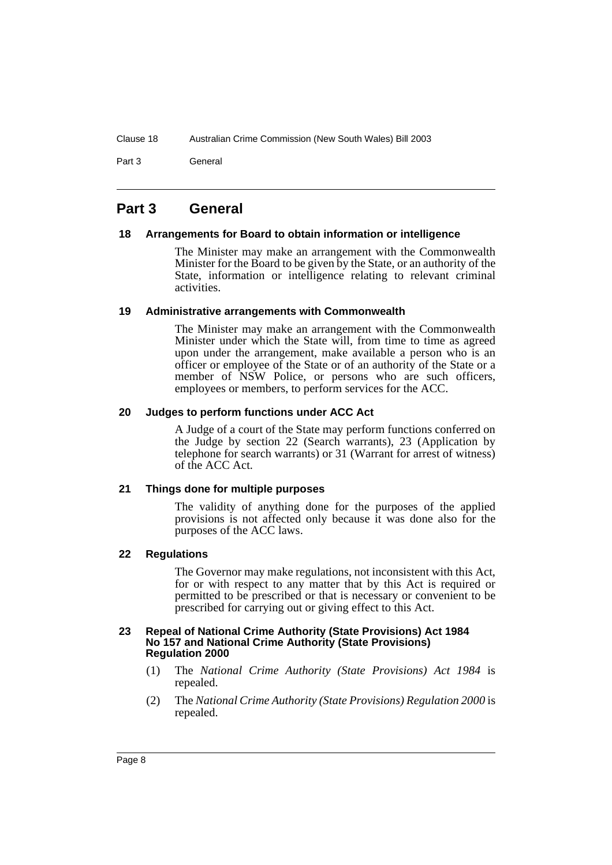Part 3 **General** 

## <span id="page-9-0"></span>**Part 3 General**

#### <span id="page-9-1"></span>**18 Arrangements for Board to obtain information or intelligence**

The Minister may make an arrangement with the Commonwealth Minister for the Board to be given by the State, or an authority of the State, information or intelligence relating to relevant criminal activities.

#### <span id="page-9-2"></span>**19 Administrative arrangements with Commonwealth**

The Minister may make an arrangement with the Commonwealth Minister under which the State will, from time to time as agreed upon under the arrangement, make available a person who is an officer or employee of the State or of an authority of the State or a member of NSW Police, or persons who are such officers, employees or members, to perform services for the ACC.

## <span id="page-9-3"></span>**20 Judges to perform functions under ACC Act**

A Judge of a court of the State may perform functions conferred on the Judge by section 22 (Search warrants), 23 (Application by telephone for search warrants) or 31 (Warrant for arrest of witness) of the ACC Act.

#### <span id="page-9-4"></span>**21 Things done for multiple purposes**

The validity of anything done for the purposes of the applied provisions is not affected only because it was done also for the purposes of the ACC laws.

## <span id="page-9-5"></span>**22 Regulations**

The Governor may make regulations, not inconsistent with this Act, for or with respect to any matter that by this Act is required or permitted to be prescribed or that is necessary or convenient to be prescribed for carrying out or giving effect to this Act.

#### <span id="page-9-6"></span>**23 Repeal of National Crime Authority (State Provisions) Act 1984 No 157 and National Crime Authority (State Provisions) Regulation 2000**

- (1) The *National Crime Authority (State Provisions) Act 1984* is repealed.
- (2) The *National Crime Authority (State Provisions) Regulation 2000* is repealed.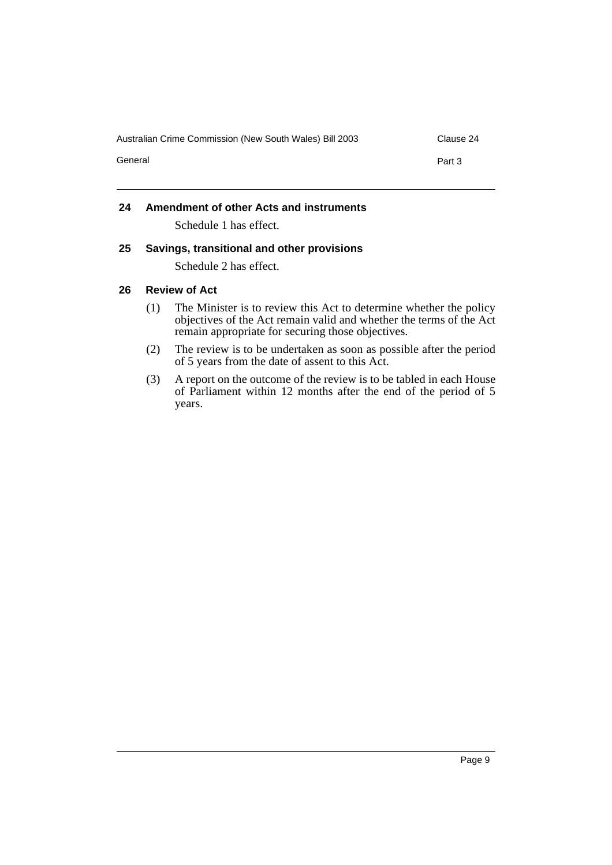Australian Crime Commission (New South Wales) Bill 2003 Clause 24

General **Part 3** 

## <span id="page-10-0"></span>**24 Amendment of other Acts and instruments**

Schedule 1 has effect.

## <span id="page-10-1"></span>**25 Savings, transitional and other provisions**

Schedule 2 has effect.

## <span id="page-10-2"></span>**26 Review of Act**

- (1) The Minister is to review this Act to determine whether the policy objectives of the Act remain valid and whether the terms of the Act remain appropriate for securing those objectives.
- (2) The review is to be undertaken as soon as possible after the period of 5 years from the date of assent to this Act.
- (3) A report on the outcome of the review is to be tabled in each House of Parliament within 12 months after the end of the period of 5 years.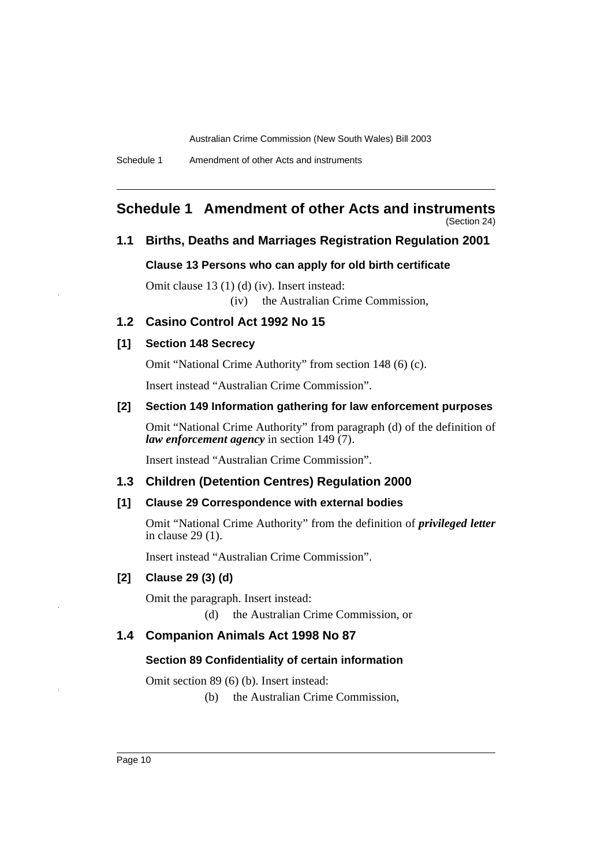Schedule 1 Amendment of other Acts and instruments

# <span id="page-11-0"></span>**Schedule 1 Amendment of other Acts and instruments**

(Section 24)

#### **1.1 Births, Deaths and Marriages Registration Regulation 2001**

#### **Clause 13 Persons who can apply for old birth certificate**

Omit clause 13 (1) (d) (iv). Insert instead: (iv) the Australian Crime Commission,

#### **1.2 Casino Control Act 1992 No 15**

#### **[1] Section 148 Secrecy**

Omit "National Crime Authority" from section 148 (6) (c).

Insert instead "Australian Crime Commission".

## **[2] Section 149 Information gathering for law enforcement purposes**

Omit "National Crime Authority" from paragraph (d) of the definition of *law enforcement agency* in section 149 (7).

Insert instead "Australian Crime Commission".

#### **1.3 Children (Detention Centres) Regulation 2000**

#### **[1] Clause 29 Correspondence with external bodies**

Omit "National Crime Authority" from the definition of *privileged letter* in clause 29 (1).

Insert instead "Australian Crime Commission".

## **[2] Clause 29 (3) (d)**

Omit the paragraph. Insert instead:

(d) the Australian Crime Commission, or

#### **1.4 Companion Animals Act 1998 No 87**

#### **Section 89 Confidentiality of certain information**

Omit section 89 (6) (b). Insert instead:

(b) the Australian Crime Commission,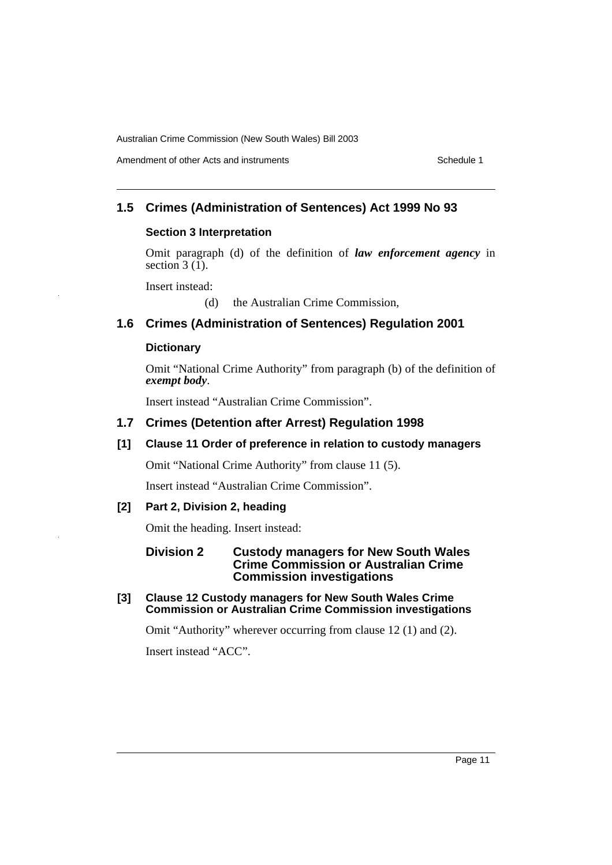## **1.5 Crimes (Administration of Sentences) Act 1999 No 93**

#### **Section 3 Interpretation**

Omit paragraph (d) of the definition of *law enforcement agency* in section  $3(\tilde{1})$ .

Insert instead:

(d) the Australian Crime Commission,

## **1.6 Crimes (Administration of Sentences) Regulation 2001**

#### **Dictionary**

Omit "National Crime Authority" from paragraph (b) of the definition of *exempt body*.

Insert instead "Australian Crime Commission".

## **1.7 Crimes (Detention after Arrest) Regulation 1998**

#### **[1] Clause 11 Order of preference in relation to custody managers**

Omit "National Crime Authority" from clause 11 (5).

Insert instead "Australian Crime Commission".

#### **[2] Part 2, Division 2, heading**

Omit the heading. Insert instead:

#### **Division 2 Custody managers for New South Wales Crime Commission or Australian Crime Commission investigations**

**[3] Clause 12 Custody managers for New South Wales Crime Commission or Australian Crime Commission investigations**

Omit "Authority" wherever occurring from clause 12 (1) and (2).

Insert instead "ACC".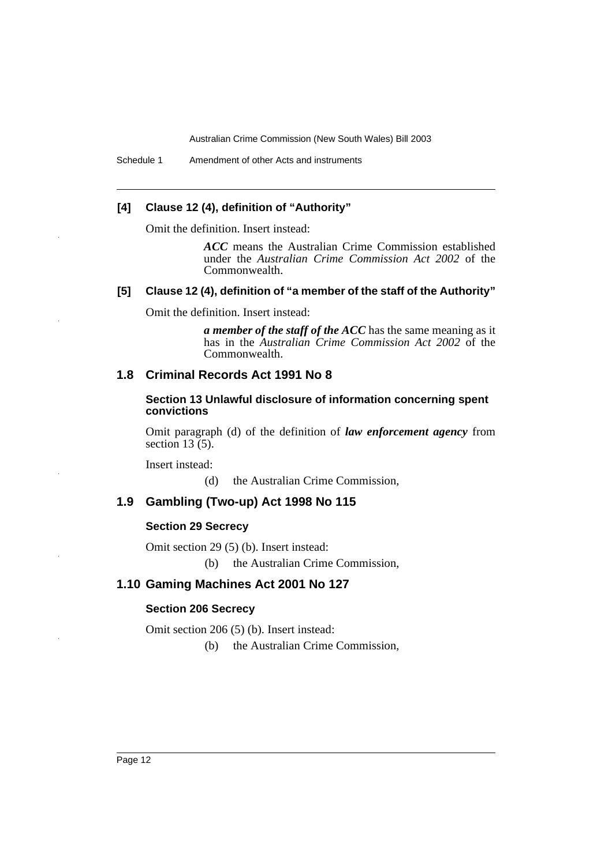Schedule 1 Amendment of other Acts and instruments

## **[4] Clause 12 (4), definition of "Authority"**

Omit the definition. Insert instead:

*ACC* means the Australian Crime Commission established under the *Australian Crime Commission Act 2002* of the Commonwealth.

#### **[5] Clause 12 (4), definition of "a member of the staff of the Authority"**

Omit the definition. Insert instead:

*a member of the staff of the ACC* has the same meaning as it has in the *Australian Crime Commission Act 2002* of the Commonwealth.

## **1.8 Criminal Records Act 1991 No 8**

**Section 13 Unlawful disclosure of information concerning spent convictions**

Omit paragraph (d) of the definition of *law enforcement agency* from section  $13(5)$ .

Insert instead:

(d) the Australian Crime Commission,

#### **1.9 Gambling (Two-up) Act 1998 No 115**

#### **Section 29 Secrecy**

Omit section 29 (5) (b). Insert instead:

(b) the Australian Crime Commission,

## **1.10 Gaming Machines Act 2001 No 127**

#### **Section 206 Secrecy**

Omit section 206 (5) (b). Insert instead:

(b) the Australian Crime Commission,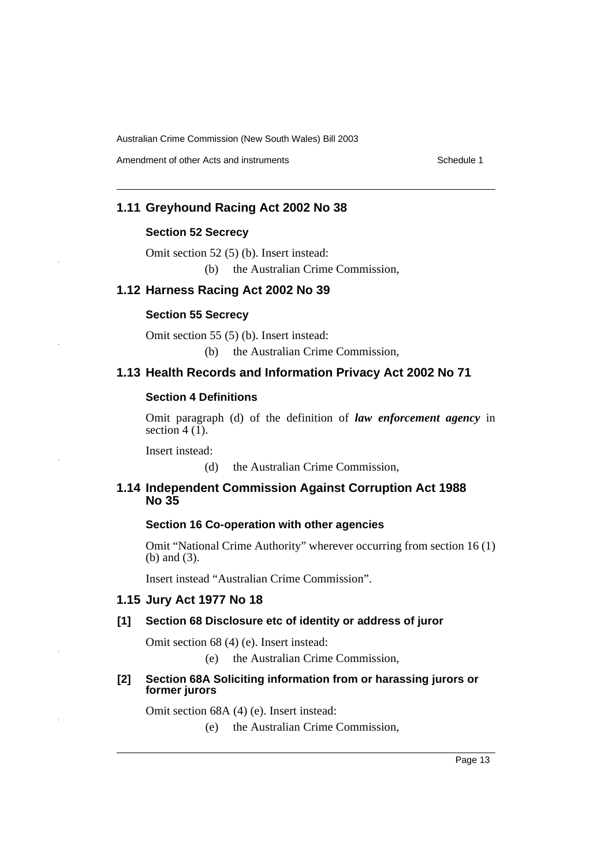Amendment of other Acts and instruments **Schedule 1** Schedule 1

## **1.11 Greyhound Racing Act 2002 No 38**

#### **Section 52 Secrecy**

Omit section 52 (5) (b). Insert instead: (b) the Australian Crime Commission,

## **1.12 Harness Racing Act 2002 No 39**

#### **Section 55 Secrecy**

Omit section 55 (5) (b). Insert instead: (b) the Australian Crime Commission,

#### **1.13 Health Records and Information Privacy Act 2002 No 71**

## **Section 4 Definitions**

Omit paragraph (d) of the definition of *law enforcement agency* in section  $4(1)$ .

Insert instead:

(d) the Australian Crime Commission,

## **1.14 Independent Commission Against Corruption Act 1988 No 35**

#### **Section 16 Co-operation with other agencies**

Omit "National Crime Authority" wherever occurring from section 16 (1) (b) and (3).

Insert instead "Australian Crime Commission".

#### **1.15 Jury Act 1977 No 18**

#### **[1] Section 68 Disclosure etc of identity or address of juror**

Omit section 68 (4) (e). Insert instead:

(e) the Australian Crime Commission,

#### **[2] Section 68A Soliciting information from or harassing jurors or former jurors**

Omit section 68A (4) (e). Insert instead:

(e) the Australian Crime Commission,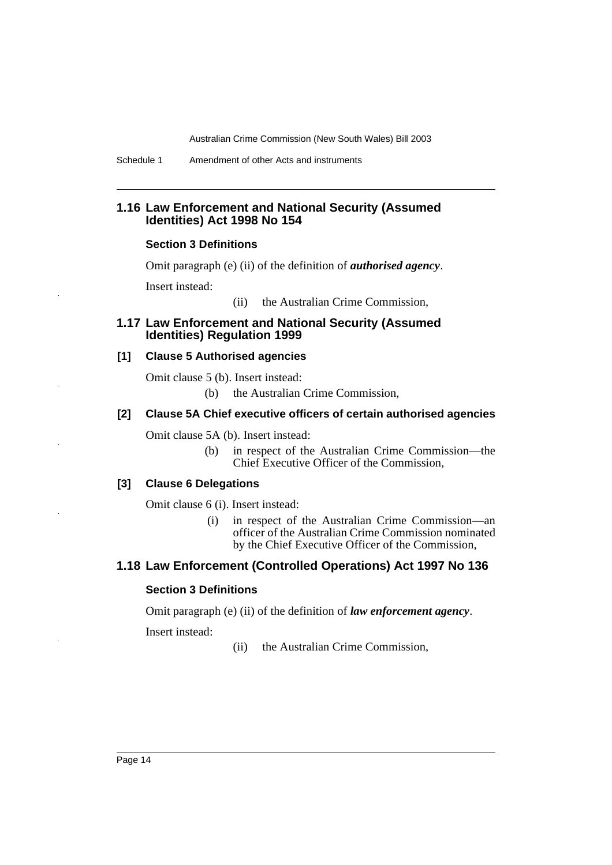Schedule 1 Amendment of other Acts and instruments

#### **1.16 Law Enforcement and National Security (Assumed Identities) Act 1998 No 154**

#### **Section 3 Definitions**

Omit paragraph (e) (ii) of the definition of *authorised agency*.

Insert instead:

(ii) the Australian Crime Commission,

## **1.17 Law Enforcement and National Security (Assumed Identities) Regulation 1999**

#### **[1] Clause 5 Authorised agencies**

Omit clause 5 (b). Insert instead:

(b) the Australian Crime Commission,

#### **[2] Clause 5A Chief executive officers of certain authorised agencies**

Omit clause 5A (b). Insert instead:

(b) in respect of the Australian Crime Commission—the Chief Executive Officer of the Commission,

#### **[3] Clause 6 Delegations**

Omit clause 6 (i). Insert instead:

(i) in respect of the Australian Crime Commission—an officer of the Australian Crime Commission nominated by the Chief Executive Officer of the Commission,

## **1.18 Law Enforcement (Controlled Operations) Act 1997 No 136**

#### **Section 3 Definitions**

Omit paragraph (e) (ii) of the definition of *law enforcement agency*.

Insert instead:

(ii) the Australian Crime Commission,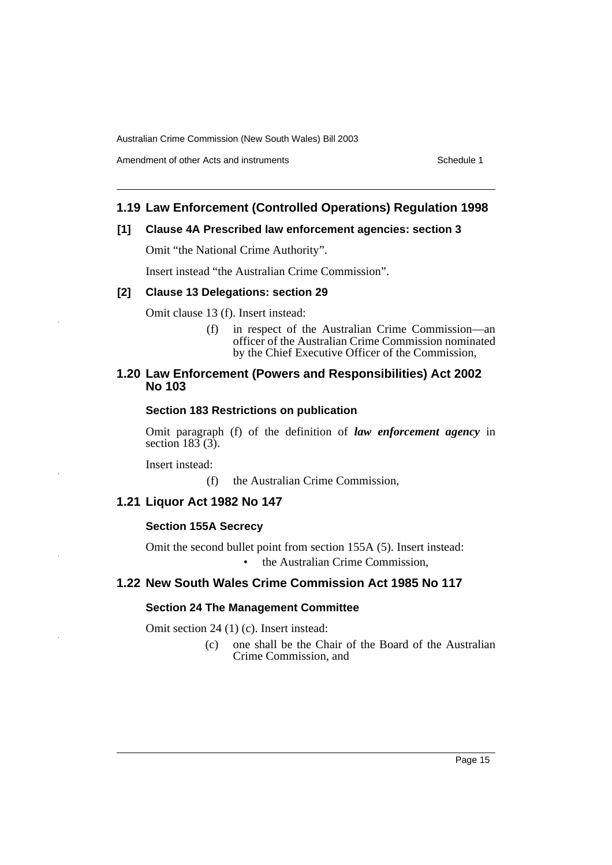Amendment of other Acts and instruments **Schedule 1** Schedule 1

## **1.19 Law Enforcement (Controlled Operations) Regulation 1998**

#### **[1] Clause 4A Prescribed law enforcement agencies: section 3**

Omit "the National Crime Authority".

Insert instead "the Australian Crime Commission".

#### **[2] Clause 13 Delegations: section 29**

Omit clause 13 (f). Insert instead:

(f) in respect of the Australian Crime Commission—an officer of the Australian Crime Commission nominated by the Chief Executive Officer of the Commission,

## **1.20 Law Enforcement (Powers and Responsibilities) Act 2002 No 103**

#### **Section 183 Restrictions on publication**

Omit paragraph (f) of the definition of *law enforcement agency* in section  $183(3)$ .

Insert instead:

(f) the Australian Crime Commission,

#### **1.21 Liquor Act 1982 No 147**

#### **Section 155A Secrecy**

Omit the second bullet point from section 155A (5). Insert instead:

• the Australian Crime Commission,

## **1.22 New South Wales Crime Commission Act 1985 No 117**

#### **Section 24 The Management Committee**

Omit section 24 (1) (c). Insert instead:

(c) one shall be the Chair of the Board of the Australian Crime Commission, and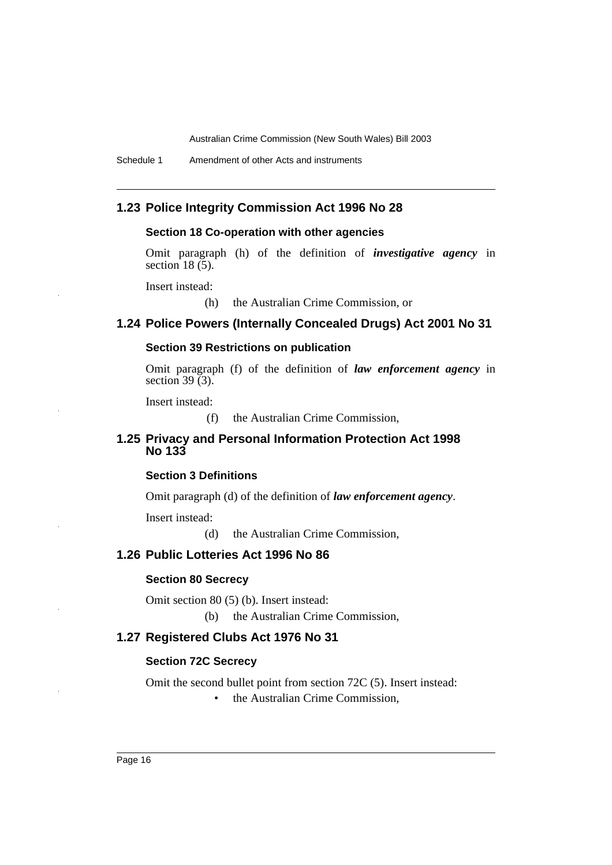Schedule 1 Amendment of other Acts and instruments

## **1.23 Police Integrity Commission Act 1996 No 28**

#### **Section 18 Co-operation with other agencies**

Omit paragraph (h) of the definition of *investigative agency* in section  $18(5)$ .

Insert instead:

(h) the Australian Crime Commission, or

#### **1.24 Police Powers (Internally Concealed Drugs) Act 2001 No 31**

#### **Section 39 Restrictions on publication**

Omit paragraph (f) of the definition of *law enforcement agency* in section  $39(3)$ .

Insert instead:

(f) the Australian Crime Commission,

## **1.25 Privacy and Personal Information Protection Act 1998 No 133**

#### **Section 3 Definitions**

Omit paragraph (d) of the definition of *law enforcement agency*.

Insert instead:

(d) the Australian Crime Commission,

#### **1.26 Public Lotteries Act 1996 No 86**

#### **Section 80 Secrecy**

Omit section 80 (5) (b). Insert instead:

(b) the Australian Crime Commission,

## **1.27 Registered Clubs Act 1976 No 31**

#### **Section 72C Secrecy**

Omit the second bullet point from section 72C (5). Insert instead:

• the Australian Crime Commission.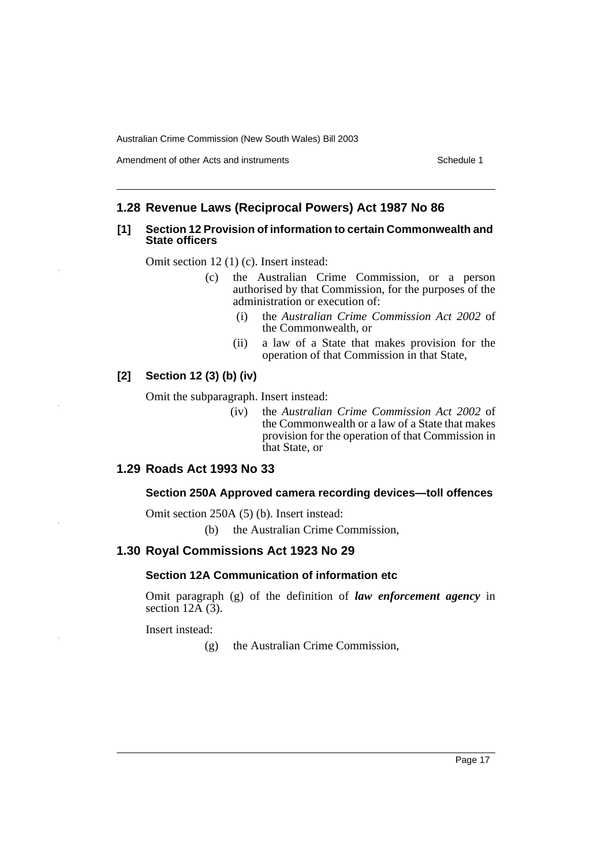Amendment of other Acts and instruments **Schedule 1** Schedule 1

## **1.28 Revenue Laws (Reciprocal Powers) Act 1987 No 86**

#### **[1] Section 12 Provision of information to certain Commonwealth and State officers**

Omit section 12 (1) (c). Insert instead:

- (c) the Australian Crime Commission, or a person authorised by that Commission, for the purposes of the administration or execution of:
	- (i) the *Australian Crime Commission Act 2002* of the Commonwealth, or
	- (ii) a law of a State that makes provision for the operation of that Commission in that State,

## **[2] Section 12 (3) (b) (iv)**

Omit the subparagraph. Insert instead:

(iv) the *Australian Crime Commission Act 2002* of the Commonwealth or a law of a State that makes provision for the operation of that Commission in that State, or

## **1.29 Roads Act 1993 No 33**

#### **Section 250A Approved camera recording devices—toll offences**

Omit section 250A (5) (b). Insert instead:

(b) the Australian Crime Commission,

## **1.30 Royal Commissions Act 1923 No 29**

#### **Section 12A Communication of information etc**

Omit paragraph (g) of the definition of *law enforcement agency* in section  $12\overline{A}$  (3).

Insert instead:

(g) the Australian Crime Commission,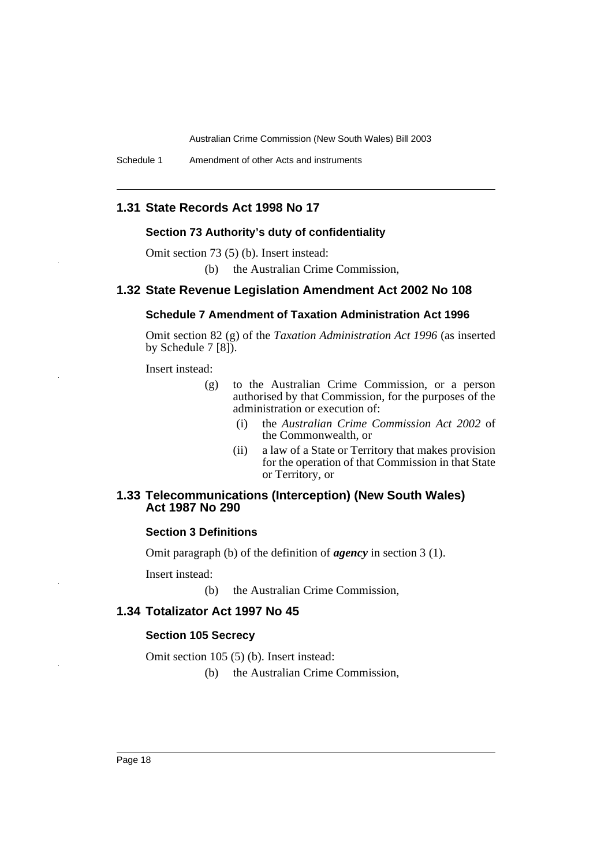Schedule 1 Amendment of other Acts and instruments

## **1.31 State Records Act 1998 No 17**

#### **Section 73 Authority's duty of confidentiality**

Omit section 73 (5) (b). Insert instead:

(b) the Australian Crime Commission,

#### **1.32 State Revenue Legislation Amendment Act 2002 No 108**

#### **Schedule 7 Amendment of Taxation Administration Act 1996**

Omit section 82 (g) of the *Taxation Administration Act 1996* (as inserted by Schedule 7 [8]).

Insert instead:

- (g) to the Australian Crime Commission, or a person authorised by that Commission, for the purposes of the administration or execution of:
	- (i) the *Australian Crime Commission Act 2002* of the Commonwealth, or
	- (ii) a law of a State or Territory that makes provision for the operation of that Commission in that State or Territory, or

#### **1.33 Telecommunications (Interception) (New South Wales) Act 1987 No 290**

#### **Section 3 Definitions**

Omit paragraph (b) of the definition of *agency* in section 3 (1).

Insert instead:

(b) the Australian Crime Commission,

#### **1.34 Totalizator Act 1997 No 45**

#### **Section 105 Secrecy**

Omit section 105 (5) (b). Insert instead:

(b) the Australian Crime Commission,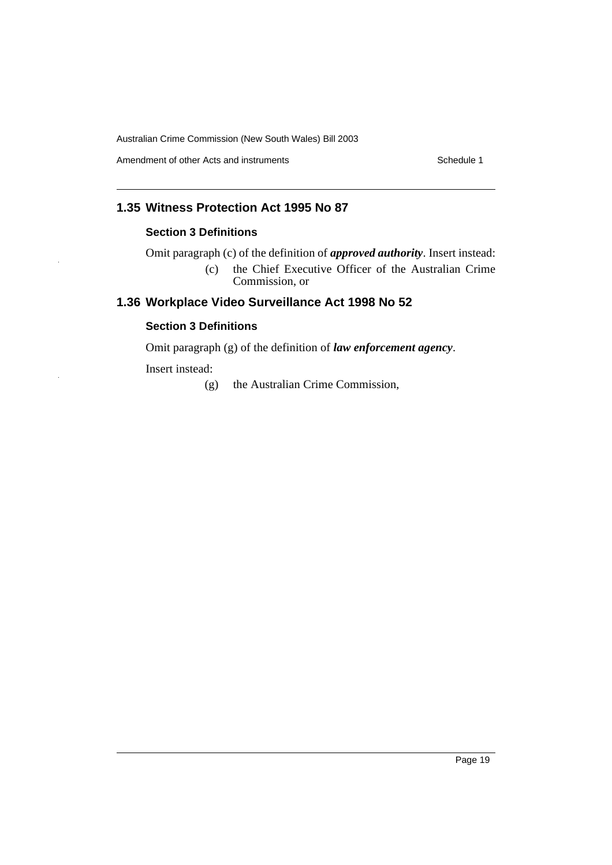Amendment of other Acts and instruments Schedule 1

## **1.35 Witness Protection Act 1995 No 87**

## **Section 3 Definitions**

Omit paragraph (c) of the definition of *approved authority*. Insert instead: (c) the Chief Executive Officer of the Australian Crime Commission, or

# **1.36 Workplace Video Surveillance Act 1998 No 52**

## **Section 3 Definitions**

Omit paragraph (g) of the definition of *law enforcement agency*.

Insert instead:

(g) the Australian Crime Commission,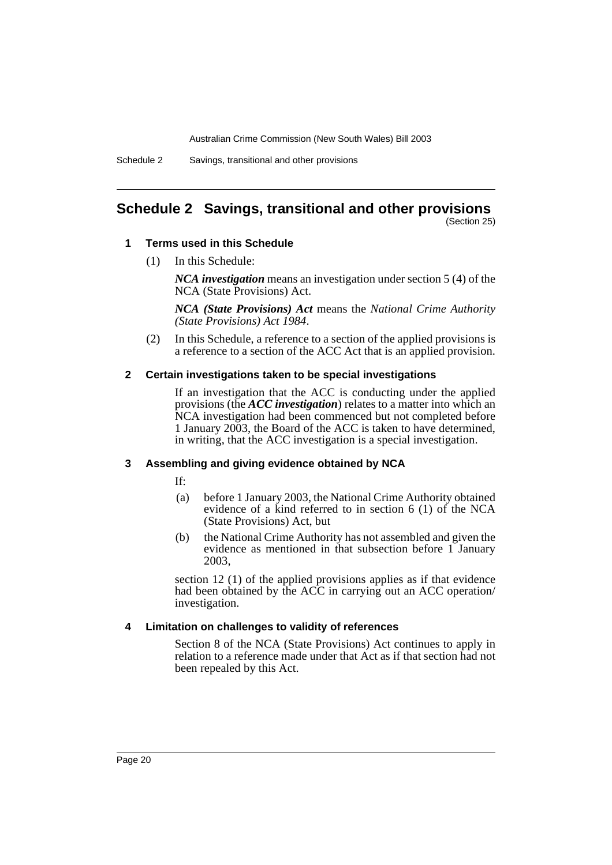Schedule 2 Savings, transitional and other provisions

# <span id="page-21-0"></span>**Schedule 2 Savings, transitional and other provisions**

(Section 25)

#### **1 Terms used in this Schedule**

(1) In this Schedule:

*NCA investigation* means an investigation under section 5 (4) of the NCA (State Provisions) Act.

*NCA (State Provisions) Act* means the *National Crime Authority (State Provisions) Act 1984*.

(2) In this Schedule, a reference to a section of the applied provisions is a reference to a section of the ACC Act that is an applied provision.

#### **2 Certain investigations taken to be special investigations**

If an investigation that the ACC is conducting under the applied provisions (the *ACC investigation*) relates to a matter into which an NCA investigation had been commenced but not completed before 1 January 2003, the Board of the ACC is taken to have determined, in writing, that the ACC investigation is a special investigation.

#### **3 Assembling and giving evidence obtained by NCA**

If:

- (a) before 1 January 2003, the National Crime Authority obtained evidence of a kind referred to in section 6 (1) of the NCA (State Provisions) Act, but
- (b) the National Crime Authority has not assembled and given the evidence as mentioned in that subsection before 1 January 2003,

section 12 (1) of the applied provisions applies as if that evidence had been obtained by the ACC in carrying out an ACC operation/ investigation.

#### **4 Limitation on challenges to validity of references**

Section 8 of the NCA (State Provisions) Act continues to apply in relation to a reference made under that Act as if that section had not been repealed by this Act.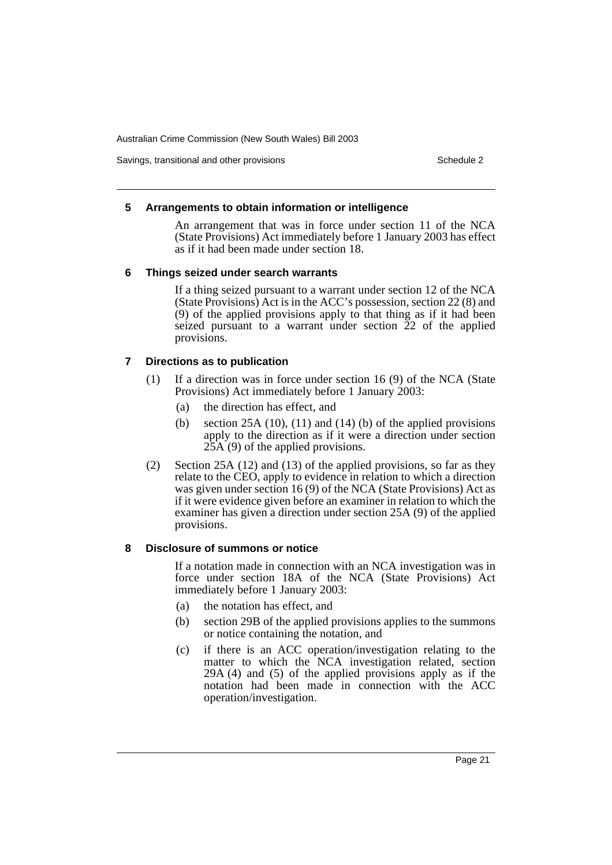Savings, transitional and other provisions Schedule 2 and Schedule 2 and Schedule 2

#### **5 Arrangements to obtain information or intelligence**

An arrangement that was in force under section 11 of the NCA (State Provisions) Act immediately before 1 January 2003 has effect as if it had been made under section 18.

#### **6 Things seized under search warrants**

If a thing seized pursuant to a warrant under section 12 of the NCA (State Provisions) Act is in the ACC's possession, section 22 (8) and (9) of the applied provisions apply to that thing as if it had been seized pursuant to a warrant under section 22 of the applied provisions.

#### **7 Directions as to publication**

- (1) If a direction was in force under section 16 (9) of the NCA (State Provisions) Act immediately before 1 January 2003:
	- (a) the direction has effect, and
	- (b) section 25A (10), (11) and (14) (b) of the applied provisions apply to the direction as if it were a direction under section 25A (9) of the applied provisions.
- (2) Section 25A (12) and (13) of the applied provisions, so far as they relate to the CEO, apply to evidence in relation to which a direction was given under section 16 (9) of the NCA (State Provisions) Act as if it were evidence given before an examiner in relation to which the examiner has given a direction under section 25A (9) of the applied provisions.

#### **8 Disclosure of summons or notice**

If a notation made in connection with an NCA investigation was in force under section 18A of the NCA (State Provisions) Act immediately before 1 January 2003:

- (a) the notation has effect, and
- (b) section 29B of the applied provisions applies to the summons or notice containing the notation, and
- (c) if there is an ACC operation/investigation relating to the matter to which the NCA investigation related, section 29A (4) and (5) of the applied provisions apply as if the notation had been made in connection with the ACC operation/investigation.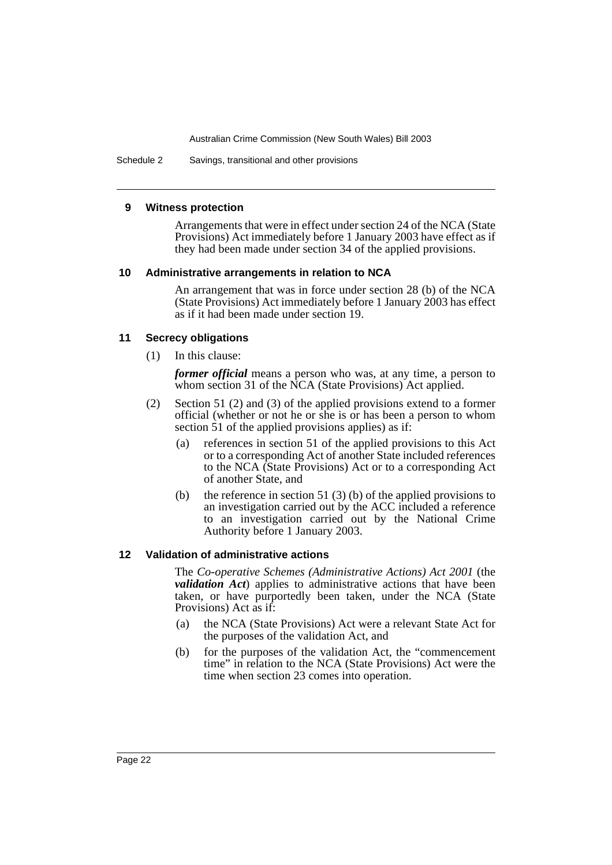Schedule 2 Savings, transitional and other provisions

#### **9 Witness protection**

Arrangements that were in effect under section 24 of the NCA (State Provisions) Act immediately before 1 January 2003 have effect as if they had been made under section 34 of the applied provisions.

#### **10 Administrative arrangements in relation to NCA**

An arrangement that was in force under section 28 (b) of the NCA (State Provisions) Act immediately before 1 January 2003 has effect as if it had been made under section 19.

#### **11 Secrecy obligations**

(1) In this clause:

*former official* means a person who was, at any time, a person to whom section 31 of the NCA (State Provisions) Act applied.

- (2) Section 51 (2) and (3) of the applied provisions extend to a former official (whether or not he or she is or has been a person to whom section 51 of the applied provisions applies) as if:
	- (a) references in section 51 of the applied provisions to this Act or to a corresponding Act of another State included references to the NCA (State Provisions) Act or to a corresponding Act of another State, and
	- (b) the reference in section 51 (3) (b) of the applied provisions to an investigation carried out by the ACC included a reference to an investigation carried out by the National Crime Authority before 1 January 2003.

#### **12 Validation of administrative actions**

The *Co-operative Schemes (Administrative Actions) Act 2001* (the *validation Act*) applies to administrative actions that have been taken, or have purportedly been taken, under the NCA (State Provisions) Act as if:

- (a) the NCA (State Provisions) Act were a relevant State Act for the purposes of the validation Act, and
- (b) for the purposes of the validation Act, the "commencement time" in relation to the NCA (State Provisions) Act were the time when section 23 comes into operation.